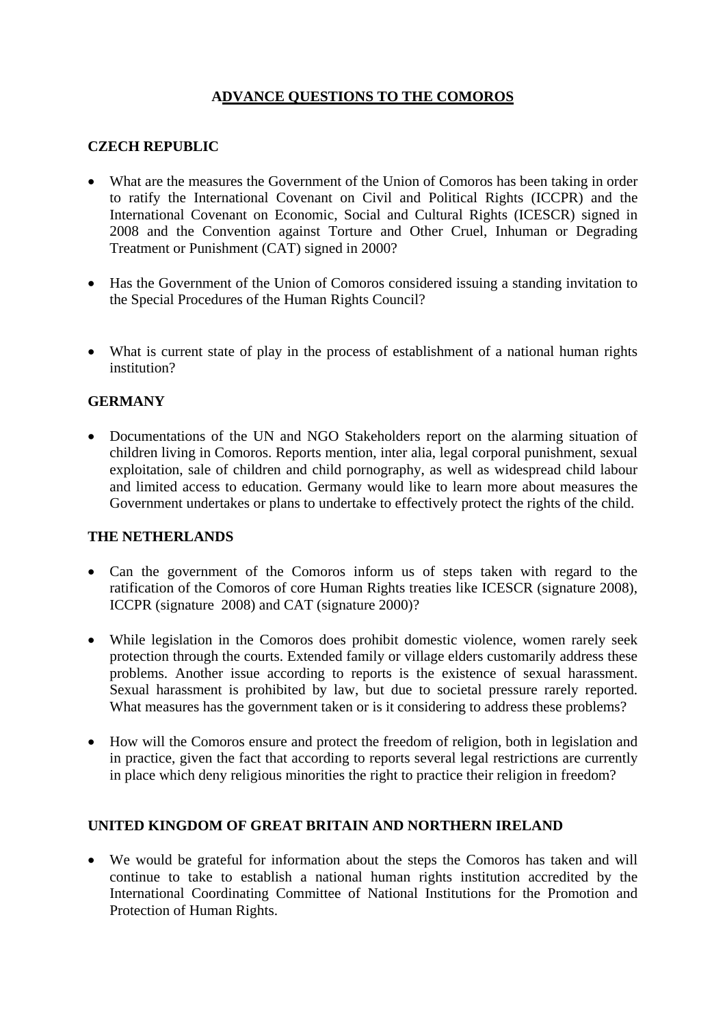# **ADVANCE QUESTIONS TO THE COMOROS**

## **CZECH REPUBLIC**

- What are the measures the Government of the Union of Comoros has been taking in order to ratify the International Covenant on Civil and Political Rights (ICCPR) and the International Covenant on Economic, Social and Cultural Rights (ICESCR) signed in 2008 and the Convention against Torture and Other Cruel, Inhuman or Degrading Treatment or Punishment (CAT) signed in 2000?
- Has the Government of the Union of Comoros considered issuing a standing invitation to the Special Procedures of the Human Rights Council?
- What is current state of play in the process of establishment of a national human rights institution?

### **GERMANY**

• Documentations of the UN and NGO Stakeholders report on the alarming situation of children living in Comoros. Reports mention, inter alia, legal corporal punishment, sexual exploitation, sale of children and child pornography, as well as widespread child labour and limited access to education. Germany would like to learn more about measures the Government undertakes or plans to undertake to effectively protect the rights of the child.

### **THE NETHERLANDS**

- Can the government of the Comoros inform us of steps taken with regard to the ratification of the Comoros of core Human Rights treaties like ICESCR (signature 2008), ICCPR (signature 2008) and CAT (signature 2000)?
- While legislation in the Comoros does prohibit domestic violence, women rarely seek protection through the courts. Extended family or village elders customarily address these problems. Another issue according to reports is the existence of sexual harassment. Sexual harassment is prohibited by law, but due to societal pressure rarely reported. What measures has the government taken or is it considering to address these problems?
- How will the Comoros ensure and protect the freedom of religion, both in legislation and in practice, given the fact that according to reports several legal restrictions are currently in place which deny religious minorities the right to practice their religion in freedom?

### **UNITED KINGDOM OF GREAT BRITAIN AND NORTHERN IRELAND**

• We would be grateful for information about the steps the Comoros has taken and will continue to take to establish a national human rights institution accredited by the International Coordinating Committee of National Institutions for the Promotion and Protection of Human Rights.